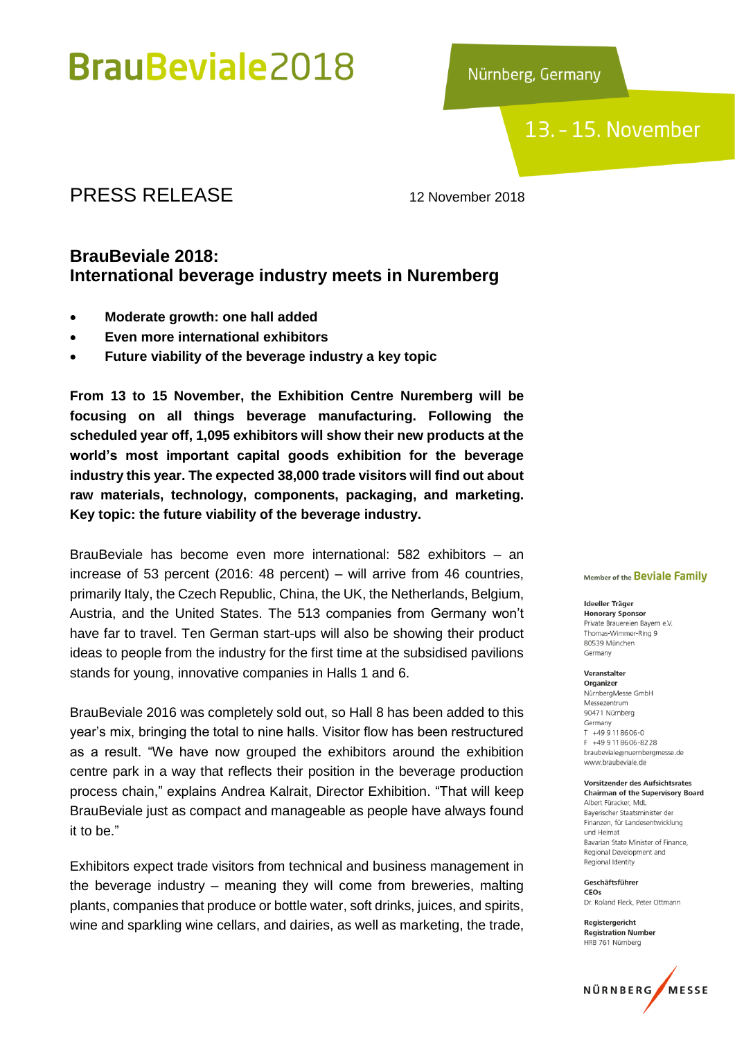Nürnberg, Germany

## 13. - 15. November

### PRESS RELEASE 12 November 2018

### **BrauBeviale 2018: International beverage industry meets in Nuremberg**

- **Moderate growth: one hall added**
- **Even more international exhibitors**
- **Future viability of the beverage industry a key topic**

**From 13 to 15 November, the Exhibition Centre Nuremberg will be focusing on all things beverage manufacturing. Following the scheduled year off, 1,095 exhibitors will show their new products at the world's most important capital goods exhibition for the beverage industry this year. The expected 38,000 trade visitors will find out about raw materials, technology, components, packaging, and marketing. Key topic: the future viability of the beverage industry.** 

BrauBeviale has become even more international: 582 exhibitors – an increase of 53 percent (2016: 48 percent) – will arrive from 46 countries, primarily Italy, the Czech Republic, China, the UK, the Netherlands, Belgium, Austria, and the United States. The 513 companies from Germany won't have far to travel. Ten German start-ups will also be showing their product ideas to people from the industry for the first time at the subsidised pavilions stands for young, innovative companies in Halls 1 and 6.

BrauBeviale 2016 was completely sold out, so Hall 8 has been added to this year's mix, bringing the total to nine halls. Visitor flow has been restructured as a result. "We have now grouped the exhibitors around the exhibition centre park in a way that reflects their position in the beverage production process chain," explains Andrea Kalrait, Director Exhibition. "That will keep BrauBeviale just as compact and manageable as people have always found it to be."

Exhibitors expect trade visitors from technical and business management in the beverage industry – meaning they will come from breweries, malting plants, companies that produce or bottle water, soft drinks, juices, and spirits, wine and sparkling wine cellars, and dairies, as well as marketing, the trade,

#### Member of the **Beviale Family**

#### Ideeller Träger

**Honorary Sponsor** Private Brauereien Bayern e.V Thomas-Wimmer-Ring 9 80539 München Germany

#### Veranstalter

Organizer NürnbergMesse GmbH Messezentrum 90471 Nürnberg Germany  $T + 499118606 - 0$ F +49 9 11 8 6 0 6 - 8 2 2 8 braubeviale@nuernbergmesse.de www.braubeviale.de

#### Vorsitzender des Aufsichtsrates **Chairman of the Supervisory Board** Albert Füracker, MdL Baverischer Staatsminister der Finanzen, für Landesentwicklung und Heimat Bavarian State Minister of Finance, Regional Development and Regional Identity

Geschäftsführer CEOS Dr. Roland Eleck, Peter Ottmann

Registergericht **Registration Number** HRB 761 Nürnberg

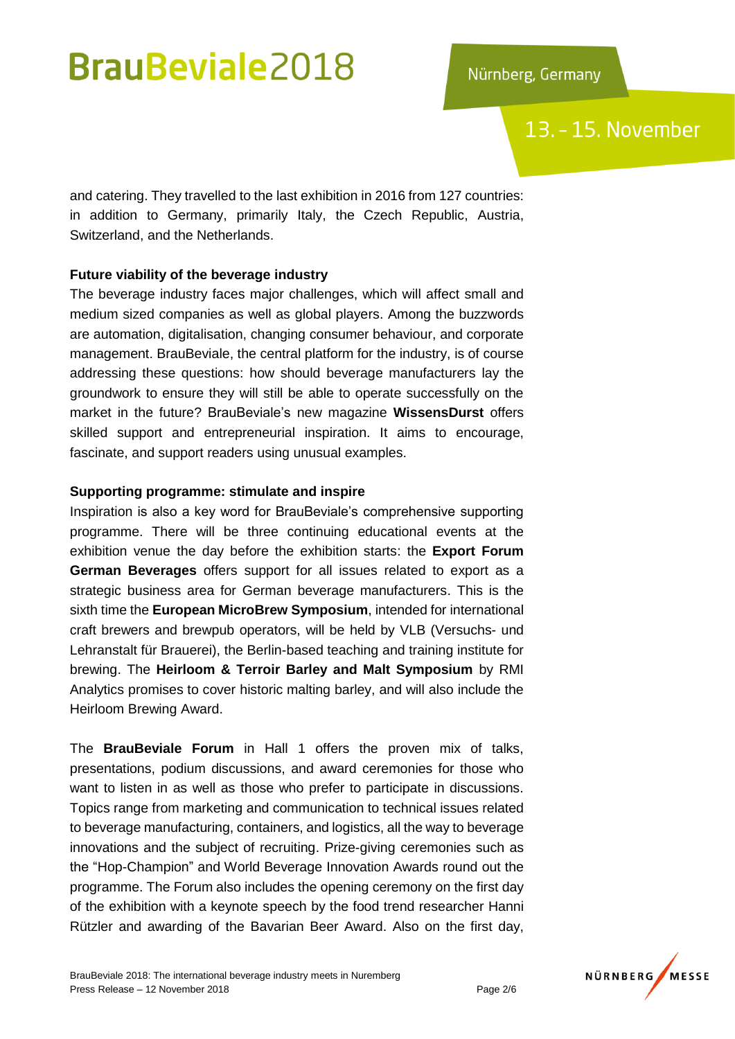Nürnberg, Germany

13. - 15. November

and catering. They travelled to the last exhibition in 2016 from 127 countries: in addition to Germany, primarily Italy, the Czech Republic, Austria, Switzerland, and the Netherlands.

### **Future viability of the beverage industry**

The beverage industry faces major challenges, which will affect small and medium sized companies as well as global players. Among the buzzwords are automation, digitalisation, changing consumer behaviour, and corporate management. BrauBeviale, the central platform for the industry, is of course addressing these questions: how should beverage manufacturers lay the groundwork to ensure they will still be able to operate successfully on the market in the future? BrauBeviale's new magazine **WissensDurst** offers skilled support and entrepreneurial inspiration. It aims to encourage, fascinate, and support readers using unusual examples.

### **Supporting programme: stimulate and inspire**

Inspiration is also a key word for BrauBeviale's comprehensive supporting programme. There will be three continuing educational events at the exhibition venue the day before the exhibition starts: the **Export Forum German Beverages** offers support for all issues related to export as a strategic business area for German beverage manufacturers. This is the sixth time the **European MicroBrew Symposium**, intended for international craft brewers and brewpub operators, will be held by VLB (Versuchs- und Lehranstalt für Brauerei), the Berlin-based teaching and training institute for brewing. The **Heirloom & Terroir Barley and Malt Symposium** by RMI Analytics promises to cover historic malting barley, and will also include the Heirloom Brewing Award.

The **BrauBeviale Forum** in Hall 1 offers the proven mix of talks, presentations, podium discussions, and award ceremonies for those who want to listen in as well as those who prefer to participate in discussions. Topics range from marketing and communication to technical issues related to beverage manufacturing, containers, and logistics, all the way to beverage innovations and the subject of recruiting. Prize-giving ceremonies such as the "Hop-Champion" and World Beverage Innovation Awards round out the programme. The Forum also includes the opening ceremony on the first day of the exhibition with a keynote speech by the food trend researcher Hanni Rützler and awarding of the Bavarian Beer Award. Also on the first day,

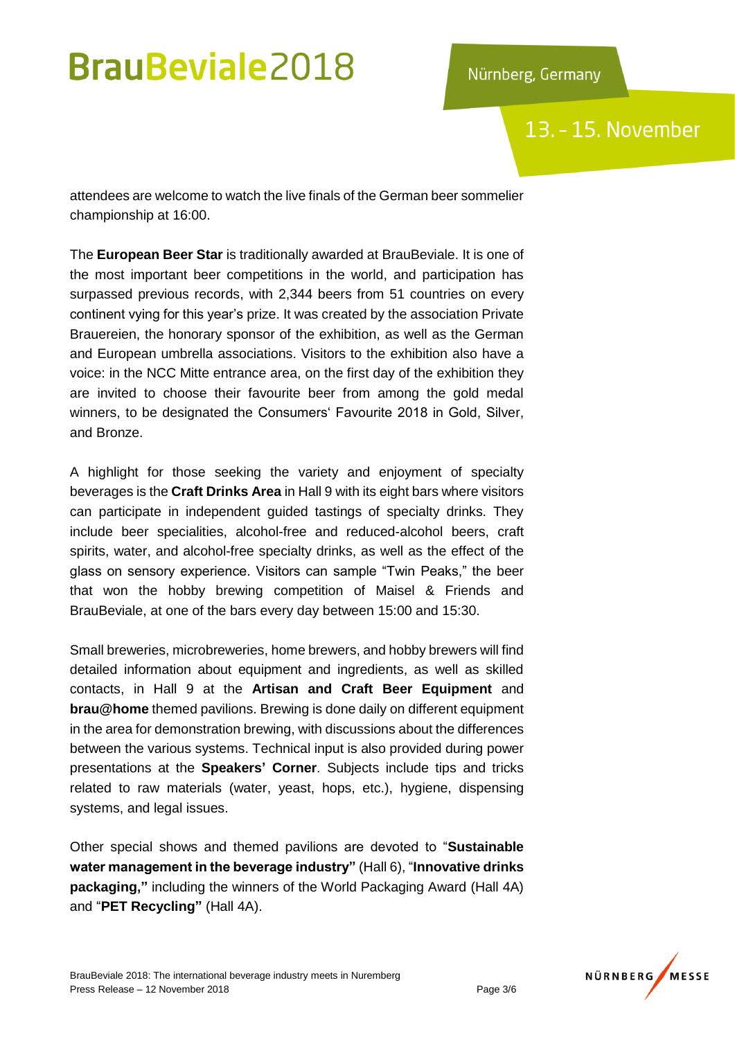Nürnberg, Germany

13. - 15. November

attendees are welcome to watch the live finals of the German beer sommelier championship at 16:00.

The **European Beer Star** is traditionally awarded at BrauBeviale. It is one of the most important beer competitions in the world, and participation has surpassed previous records, with 2,344 beers from 51 countries on every continent vying for this year's prize. It was created by the association Private Brauereien, the honorary sponsor of the exhibition, as well as the German and European umbrella associations. Visitors to the exhibition also have a voice: in the NCC Mitte entrance area, on the first day of the exhibition they are invited to choose their favourite beer from among the gold medal winners, to be designated the Consumers' Favourite 2018 in Gold, Silver, and Bronze.

A highlight for those seeking the variety and enjoyment of specialty beverages is the **Craft Drinks Area** in Hall 9 with its eight bars where visitors can participate in independent guided tastings of specialty drinks. They include beer specialities, alcohol-free and reduced-alcohol beers, craft spirits, water, and alcohol-free specialty drinks, as well as the effect of the glass on sensory experience. Visitors can sample "Twin Peaks," the beer that won the hobby brewing competition of Maisel & Friends and BrauBeviale, at one of the bars every day between 15:00 and 15:30.

Small breweries, microbreweries, home brewers, and hobby brewers will find detailed information about equipment and ingredients, as well as skilled contacts, in Hall 9 at the **Artisan and Craft Beer Equipment** and **brau@home** themed pavilions. Brewing is done daily on different equipment in the area for demonstration brewing, with discussions about the differences between the various systems. Technical input is also provided during power presentations at the **Speakers' Corner**. Subjects include tips and tricks related to raw materials (water, yeast, hops, etc.), hygiene, dispensing systems, and legal issues.

Other special shows and themed pavilions are devoted to "**Sustainable water management in the beverage industry"** (Hall 6), "**Innovative drinks packaging,"** including the winners of the World Packaging Award (Hall 4A) and "**PET Recycling"** (Hall 4A).

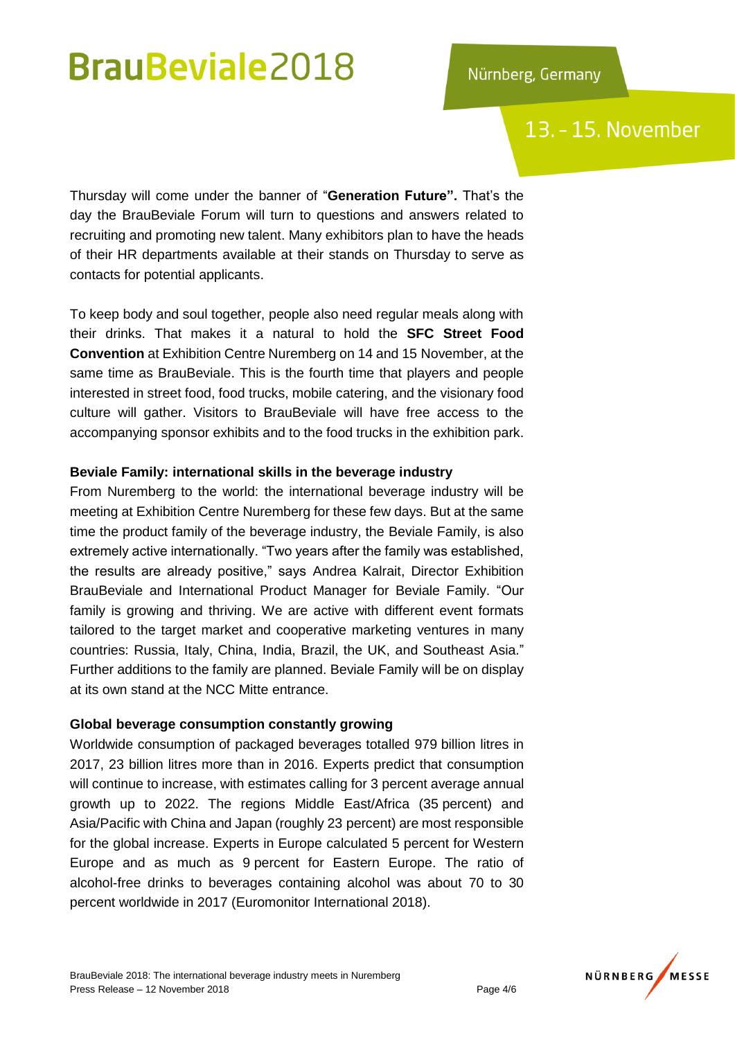### 13. - 15. November

Thursday will come under the banner of "**Generation Future".** That's the day the BrauBeviale Forum will turn to questions and answers related to recruiting and promoting new talent. Many exhibitors plan to have the heads of their HR departments available at their stands on Thursday to serve as contacts for potential applicants.

To keep body and soul together, people also need regular meals along with their drinks. That makes it a natural to hold the **SFC Street Food Convention** at Exhibition Centre Nuremberg on 14 and 15 November, at the same time as BrauBeviale. This is the fourth time that players and people interested in street food, food trucks, mobile catering, and the visionary food culture will gather. Visitors to BrauBeviale will have free access to the accompanying sponsor exhibits and to the food trucks in the exhibition park.

### **Beviale Family: international skills in the beverage industry**

From Nuremberg to the world: the international beverage industry will be meeting at Exhibition Centre Nuremberg for these few days. But at the same time the product family of the beverage industry, the Beviale Family, is also extremely active internationally. "Two years after the family was established, the results are already positive," says Andrea Kalrait, Director Exhibition BrauBeviale and International Product Manager for Beviale Family. "Our family is growing and thriving. We are active with different event formats tailored to the target market and cooperative marketing ventures in many countries: Russia, Italy, China, India, Brazil, the UK, and Southeast Asia." Further additions to the family are planned. Beviale Family will be on display at its own stand at the NCC Mitte entrance.

### **Global beverage consumption constantly growing**

Worldwide consumption of packaged beverages totalled 979 billion litres in 2017, 23 billion litres more than in 2016. Experts predict that consumption will continue to increase, with estimates calling for 3 percent average annual growth up to 2022. The regions Middle East/Africa (35 percent) and Asia/Pacific with China and Japan (roughly 23 percent) are most responsible for the global increase. Experts in Europe calculated 5 percent for Western Europe and as much as 9 percent for Eastern Europe. The ratio of alcohol-free drinks to beverages containing alcohol was about 70 to 30 percent worldwide in 2017 (Euromonitor International 2018).

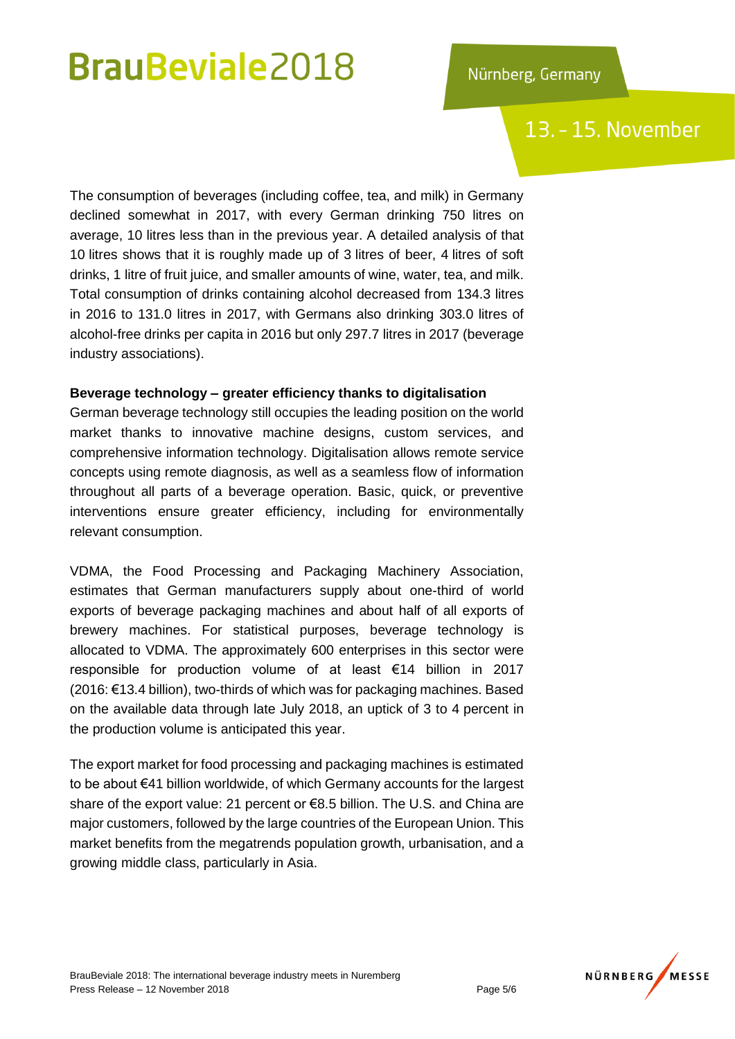## 13. - 15. November

The consumption of beverages (including coffee, tea, and milk) in Germany declined somewhat in 2017, with every German drinking 750 litres on average, 10 litres less than in the previous year. A detailed analysis of that 10 litres shows that it is roughly made up of 3 litres of beer, 4 litres of soft drinks, 1 litre of fruit juice, and smaller amounts of wine, water, tea, and milk. Total consumption of drinks containing alcohol decreased from 134.3 litres in 2016 to 131.0 litres in 2017, with Germans also drinking 303.0 litres of alcohol-free drinks per capita in 2016 but only 297.7 litres in 2017 (beverage industry associations).

### **Beverage technology – greater efficiency thanks to digitalisation**

German beverage technology still occupies the leading position on the world market thanks to innovative machine designs, custom services, and comprehensive information technology. Digitalisation allows remote service concepts using remote diagnosis, as well as a seamless flow of information throughout all parts of a beverage operation. Basic, quick, or preventive interventions ensure greater efficiency, including for environmentally relevant consumption.

VDMA, the Food Processing and Packaging Machinery Association, estimates that German manufacturers supply about one-third of world exports of beverage packaging machines and about half of all exports of brewery machines. For statistical purposes, beverage technology is allocated to VDMA. The approximately 600 enterprises in this sector were responsible for production volume of at least €14 billion in 2017 (2016: €13.4 billion), two-thirds of which was for packaging machines. Based on the available data through late July 2018, an uptick of 3 to 4 percent in the production volume is anticipated this year.

The export market for food processing and packaging machines is estimated to be about €41 billion worldwide, of which Germany accounts for the largest share of the export value: 21 percent or €8.5 billion. The U.S. and China are major customers, followed by the large countries of the European Union. This market benefits from the megatrends population growth, urbanisation, and a growing middle class, particularly in Asia.